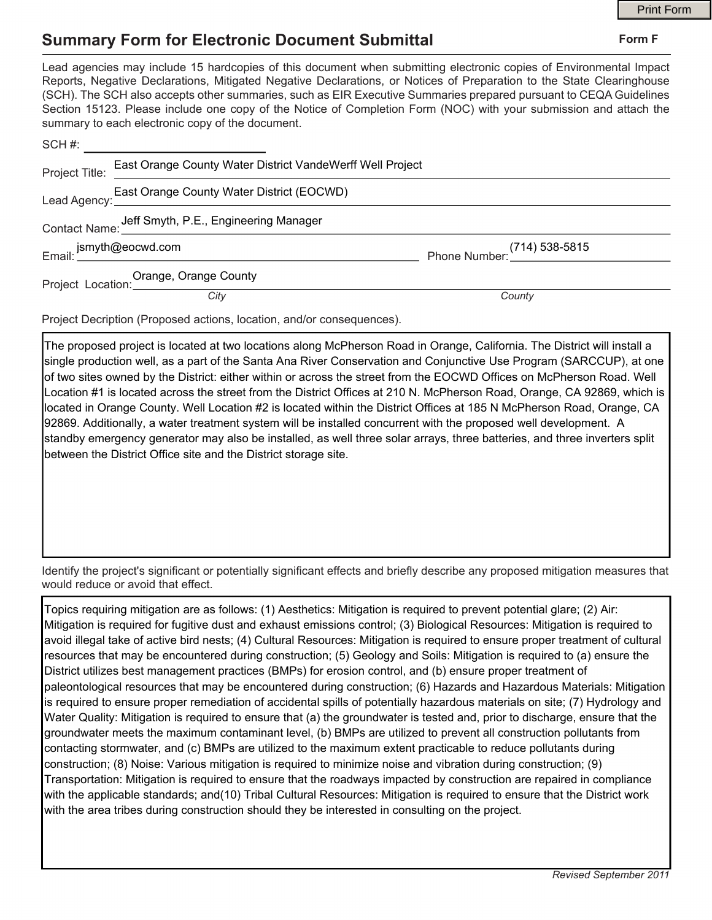## **Summary Form for Electronic Document Submittal**

|                |                                                                                                                                                                                                                                                                                                                                                                                                                                                                                                                                           |                             | <b>Print Form</b> |
|----------------|-------------------------------------------------------------------------------------------------------------------------------------------------------------------------------------------------------------------------------------------------------------------------------------------------------------------------------------------------------------------------------------------------------------------------------------------------------------------------------------------------------------------------------------------|-----------------------------|-------------------|
|                | <b>Summary Form for Electronic Document Submittal</b>                                                                                                                                                                                                                                                                                                                                                                                                                                                                                     |                             | Form F            |
|                | Lead agencies may include 15 hardcopies of this document when submitting electronic copies of Environmental Impact<br>Reports, Negative Declarations, Mitigated Negative Declarations, or Notices of Preparation to the State Clearinghouse<br>(SCH). The SCH also accepts other summaries, such as EIR Executive Summaries prepared pursuant to CEQA Guidelines<br>Section 15123. Please include one copy of the Notice of Completion Form (NOC) with your submission and attach the<br>summary to each electronic copy of the document. |                             |                   |
|                | SCH #: _________________________                                                                                                                                                                                                                                                                                                                                                                                                                                                                                                          |                             |                   |
| Project Title: | East Orange County Water District VandeWerff Well Project                                                                                                                                                                                                                                                                                                                                                                                                                                                                                 |                             |                   |
|                | East Orange County Water District (EOCWD)                                                                                                                                                                                                                                                                                                                                                                                                                                                                                                 |                             |                   |
|                | Contact Name: Jeff Smyth, P.E., Engineering Manager                                                                                                                                                                                                                                                                                                                                                                                                                                                                                       |                             |                   |
|                |                                                                                                                                                                                                                                                                                                                                                                                                                                                                                                                                           | 714) 538-5815 Phone Number: |                   |
|                | Project Location: Orange, Orange County<br>City                                                                                                                                                                                                                                                                                                                                                                                                                                                                                           |                             |                   |
|                |                                                                                                                                                                                                                                                                                                                                                                                                                                                                                                                                           | County                      |                   |

Project Decription (Proposed actions, location, and/or consequences).

The proposed project is located at two locations along McPherson Road in Orange, California. The District will install a single production well, as a part of the Santa Ana River Conservation and Conjunctive Use Program (SARCCUP), at one of two sites owned by the District: either within or across the street from the EOCWD Offices on McPherson Road. Well Location #1 is located across the street from the District Offices at 210 N. McPherson Road, Orange, CA 92869, which is located in Orange County. Well Location #2 is located within the District Offices at 185 N McPherson Road, Orange, CA 92869. Additionally, a water treatment system will be installed concurrent with the proposed well development. A standby emergency generator may also be installed, as well three solar arrays, three batteries, and three inverters split between the District Office site and the District storage site.

Identify the project's significant or potentially significant effects and briefly describe any proposed mitigation measures that would reduce or avoid that effect.

Topics requiring mitigation are as follows: (1) Aesthetics: Mitigation is required to prevent potential glare; (2) Air: Mitigation is required for fugitive dust and exhaust emissions control; (3) Biological Resources: Mitigation is required to avoid illegal take of active bird nests; (4) Cultural Resources: Mitigation is required to ensure proper treatment of cultural resources that may be encountered during construction; (5) Geology and Soils: Mitigation is required to (a) ensure the District utilizes best management practices (BMPs) for erosion control, and (b) ensure proper treatment of paleontological resources that may be encountered during construction; (6) Hazards and Hazardous Materials: Mitigation is required to ensure proper remediation of accidental spills of potentially hazardous materials on site; (7) Hydrology and Water Quality: Mitigation is required to ensure that (a) the groundwater is tested and, prior to discharge, ensure that the groundwater meets the maximum contaminant level, (b) BMPs are utilized to prevent all construction pollutants from contacting stormwater, and (c) BMPs are utilized to the maximum extent practicable to reduce pollutants during construction; (8) Noise: Various mitigation is required to minimize noise and vibration during construction; (9) Transportation: Mitigation is required to ensure that the roadways impacted by construction are repaired in compliance with the applicable standards; and(10) Tribal Cultural Resources: Mitigation is required to ensure that the District work with the area tribes during construction should they be interested in consulting on the project.